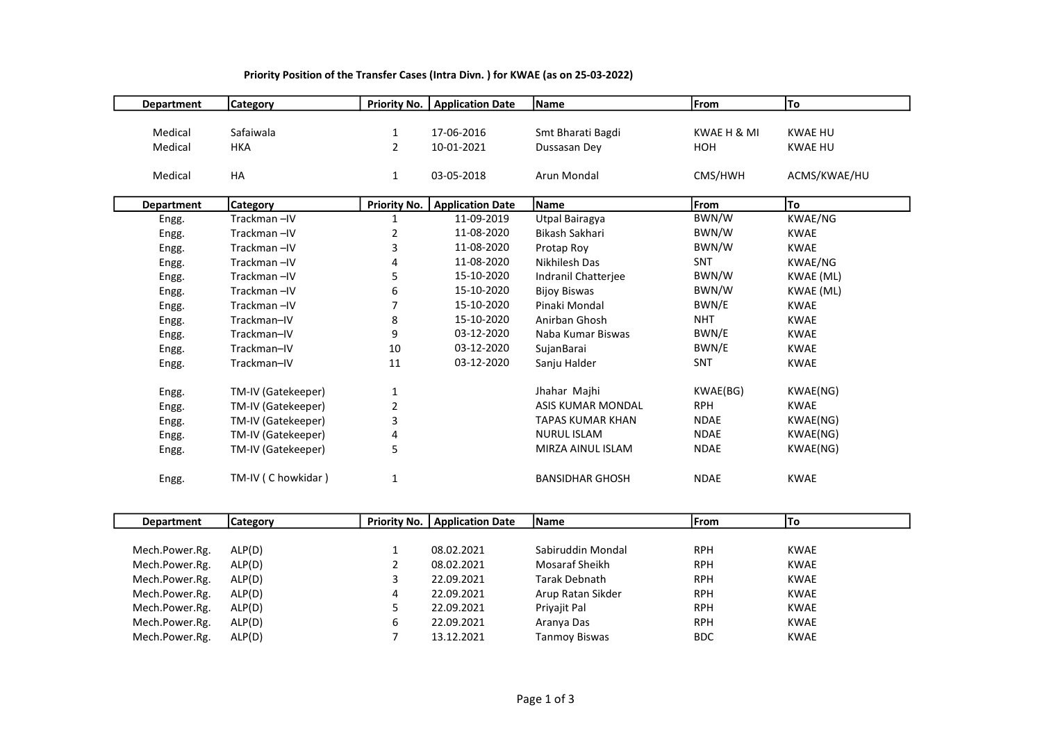| <b>Department</b> | <b>Category</b>    | <b>Priority No.</b> | <b>Application Date</b> | Name                    | From        | To             |
|-------------------|--------------------|---------------------|-------------------------|-------------------------|-------------|----------------|
|                   |                    |                     |                         |                         |             |                |
| Medical           | Safaiwala          | 1                   | 17-06-2016              | Smt Bharati Bagdi       | KWAE H & MI | <b>KWAE HU</b> |
| Medical           | <b>HKA</b>         | $\overline{2}$      | 10-01-2021              | Dussasan Dey            | HOH         | <b>KWAE HU</b> |
|                   |                    |                     |                         |                         |             |                |
| Medical           | HA                 | $\mathbf{1}$        | 03-05-2018              | Arun Mondal             | CMS/HWH     | ACMS/KWAE/HU   |
|                   |                    |                     |                         |                         |             |                |
| <b>Department</b> | <b>Category</b>    | <b>Priority No.</b> | <b>Application Date</b> | Name                    | From        | To             |
| Engg.             | Trackman-IV        | 1                   | 11-09-2019              | Utpal Bairagya          | BWN/W       | KWAE/NG        |
| Engg.             | Trackman-IV        | 2                   | 11-08-2020              | Bikash Sakhari          | BWN/W       | <b>KWAE</b>    |
| Engg.             | Trackman-IV        | 3                   | 11-08-2020              | Protap Roy              | BWN/W       | <b>KWAE</b>    |
| Engg.             | Trackman-IV        | 4                   | 11-08-2020              | Nikhilesh Das           | <b>SNT</b>  | KWAE/NG        |
| Engg.             | Trackman-IV        | 5                   | 15-10-2020              | Indranil Chatteriee     | BWN/W       | KWAE (ML)      |
| Engg.             | Trackman-IV        | 6                   | 15-10-2020              | <b>Bijoy Biswas</b>     | BWN/W       | KWAE (ML)      |
| Engg.             | Trackman-IV        |                     | 15-10-2020              | Pinaki Mondal           | BWN/E       | <b>KWAE</b>    |
| Engg.             | Trackman-IV        | 8                   | 15-10-2020              | Anirban Ghosh           | <b>NHT</b>  | <b>KWAE</b>    |
| Engg.             | Trackman-IV        | 9                   | 03-12-2020              | Naba Kumar Biswas       | BWN/E       | <b>KWAE</b>    |
| Engg.             | Trackman-IV        | 10                  | 03-12-2020              | SujanBarai              | BWN/E       | <b>KWAE</b>    |
| Engg.             | Trackman-IV        | 11                  | 03-12-2020              | Sanju Halder            | SNT         | <b>KWAE</b>    |
|                   |                    |                     |                         |                         |             |                |
| Engg.             | TM-IV (Gatekeeper) | $\mathbf{1}$        |                         | Jhahar Majhi            | KWAE(BG)    | KWAE(NG)       |
| Engg.             | TM-IV (Gatekeeper) | 2                   |                         | ASIS KUMAR MONDAL       | <b>RPH</b>  | <b>KWAE</b>    |
| Engg.             | TM-IV (Gatekeeper) | 3                   |                         | <b>TAPAS KUMAR KHAN</b> | <b>NDAE</b> | KWAE(NG)       |
| Engg.             | TM-IV (Gatekeeper) | 4                   |                         | <b>NURUL ISLAM</b>      | <b>NDAE</b> | KWAE(NG)       |
| Engg.             | TM-IV (Gatekeeper) | 5                   |                         | MIRZA AINUL ISLAM       | <b>NDAE</b> | KWAE(NG)       |
| Engg.             | TM-IV (C howkidar) | $\mathbf{1}$        |                         | <b>BANSIDHAR GHOSH</b>  | <b>NDAE</b> | <b>KWAE</b>    |

## Priority Position of the Transfer Cases (Intra Divn. ) for KWAE (as on 25-03-2022)

| Department     | <b>Category</b> | <b>Priority No.</b> | Application Date | <b>Name</b>          | From       | To          |
|----------------|-----------------|---------------------|------------------|----------------------|------------|-------------|
|                |                 |                     |                  |                      |            |             |
| Mech.Power.Rg. | ALP(D)          |                     | 08.02.2021       | Sabiruddin Mondal    | <b>RPH</b> | <b>KWAE</b> |
| Mech.Power.Rg. | ALP(D)          |                     | 08.02.2021       | Mosaraf Sheikh       | <b>RPH</b> | <b>KWAE</b> |
| Mech.Power.Rg. | ALP(D)          |                     | 22.09.2021       | Tarak Debnath        | <b>RPH</b> | <b>KWAE</b> |
| Mech.Power.Rg. | ALP(D)          | 4                   | 22.09.2021       | Arup Ratan Sikder    | <b>RPH</b> | <b>KWAE</b> |
| Mech.Power.Rg. | ALP(D)          |                     | 22.09.2021       | Privajit Pal         | <b>RPH</b> | <b>KWAE</b> |
| Mech.Power.Rg. | ALP(D)          | 6                   | 22.09.2021       | Aranya Das           | <b>RPH</b> | <b>KWAE</b> |
| Mech.Power.Rg. | ALP(D)          |                     | 13.12.2021       | <b>Tanmoy Biswas</b> | <b>BDC</b> | <b>KWAE</b> |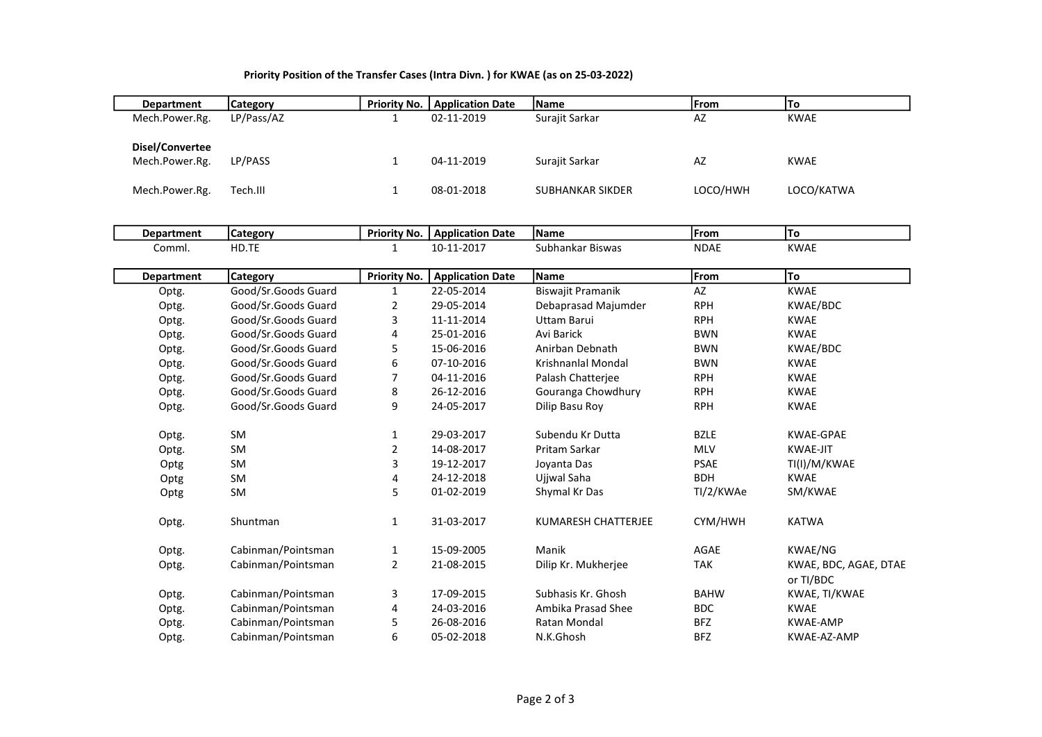## Priority Position of the Transfer Cases (Intra Divn. ) for KWAE (as on 25-03-2022)

| <b>Department</b> | Category   | <b>Priority No.</b> | <b>Application Date</b> | <b>Name</b>      | lFrom    | ITo         |
|-------------------|------------|---------------------|-------------------------|------------------|----------|-------------|
| Mech.Power.Rg.    | LP/Pass/AZ |                     | 02-11-2019              | Surajit Sarkar   | AZ       | <b>KWAE</b> |
| Disel/Convertee   |            |                     |                         |                  |          |             |
| Mech.Power.Rg.    | LP/PASS    |                     | 04-11-2019              | Surajit Sarkar   | AZ       | KWAE        |
|                   |            |                     |                         |                  |          |             |
| Mech.Power.Rg.    | Tech.III   |                     | 08-01-2018              | SUBHANKAR SIKDER | LOCO/HWH | LOCO/KATWA  |

| <b>Department</b> | <b>Category</b>     | Priority No.        | <b>Application Date</b> | Name                     | From        | To                                 |
|-------------------|---------------------|---------------------|-------------------------|--------------------------|-------------|------------------------------------|
| Comml.            | HD.TE               | 1                   | 10-11-2017              | Subhankar Biswas         | <b>NDAE</b> | <b>KWAE</b>                        |
| <b>Department</b> | Category            | <b>Priority No.</b> | <b>Application Date</b> | <b>Name</b>              | From        | To                                 |
| Optg.             | Good/Sr.Goods Guard | 1                   | 22-05-2014              | <b>Biswajit Pramanik</b> | AZ          | <b>KWAE</b>                        |
| Optg.             | Good/Sr.Goods Guard | 2                   | 29-05-2014              | Debaprasad Majumder      | <b>RPH</b>  | KWAE/BDC                           |
| Optg.             | Good/Sr.Goods Guard | 3                   | 11-11-2014              | Uttam Barui              | <b>RPH</b>  | <b>KWAE</b>                        |
| Optg.             | Good/Sr.Goods Guard | 4                   | 25-01-2016              | Avi Barick               | <b>BWN</b>  | <b>KWAE</b>                        |
| Optg.             | Good/Sr.Goods Guard | 5                   | 15-06-2016              | Anirban Debnath          | <b>BWN</b>  | KWAE/BDC                           |
| Optg.             | Good/Sr.Goods Guard | 6                   | 07-10-2016              | Krishnanlal Mondal       | <b>BWN</b>  | <b>KWAE</b>                        |
| Optg.             | Good/Sr.Goods Guard |                     | 04-11-2016              | Palash Chatterjee        | <b>RPH</b>  | <b>KWAE</b>                        |
| Optg.             | Good/Sr.Goods Guard | 8                   | 26-12-2016              | Gouranga Chowdhury       | <b>RPH</b>  | <b>KWAE</b>                        |
| Optg.             | Good/Sr.Goods Guard | 9                   | 24-05-2017              | Dilip Basu Roy           | <b>RPH</b>  | <b>KWAE</b>                        |
| Optg.             | <b>SM</b>           | $\mathbf{1}$        | 29-03-2017              | Subendu Kr Dutta         | <b>BZLE</b> | KWAE-GPAE                          |
| Optg.             | <b>SM</b>           | $\overline{2}$      | 14-08-2017              | Pritam Sarkar            | <b>MLV</b>  | <b>KWAE-JIT</b>                    |
| Optg              | <b>SM</b>           | 3                   | 19-12-2017              | Joyanta Das              | <b>PSAE</b> | TI(I)/M/KWAE                       |
| Optg              | <b>SM</b>           | 4                   | 24-12-2018              | Ujiwal Saha              | <b>BDH</b>  | <b>KWAE</b>                        |
| Optg              | <b>SM</b>           | 5                   | 01-02-2019              | Shymal Kr Das            | TI/2/KWAe   | SM/KWAE                            |
| Optg.             | Shuntman            | 1                   | 31-03-2017              | KUMARESH CHATTERJEE      | CYM/HWH     | <b>KATWA</b>                       |
| Optg.             | Cabinman/Pointsman  | 1                   | 15-09-2005              | Manik                    | AGAE        | KWAE/NG                            |
| Optg.             | Cabinman/Pointsman  | $\overline{2}$      | 21-08-2015              | Dilip Kr. Mukherjee      | <b>TAK</b>  | KWAE, BDC, AGAE, DTAE<br>or TI/BDC |
| Optg.             | Cabinman/Pointsman  | 3                   | 17-09-2015              | Subhasis Kr. Ghosh       | <b>BAHW</b> | KWAE, TI/KWAE                      |
| Optg.             | Cabinman/Pointsman  | 4                   | 24-03-2016              | Ambika Prasad Shee       | <b>BDC</b>  | <b>KWAE</b>                        |
| Optg.             | Cabinman/Pointsman  | 5                   | 26-08-2016              | Ratan Mondal             | <b>BFZ</b>  | <b>KWAE-AMP</b>                    |

Optg. Cabinman/Pointsman 6 05-02-2018 N.K.Ghosh BFZ KWAE-AZ-AMP